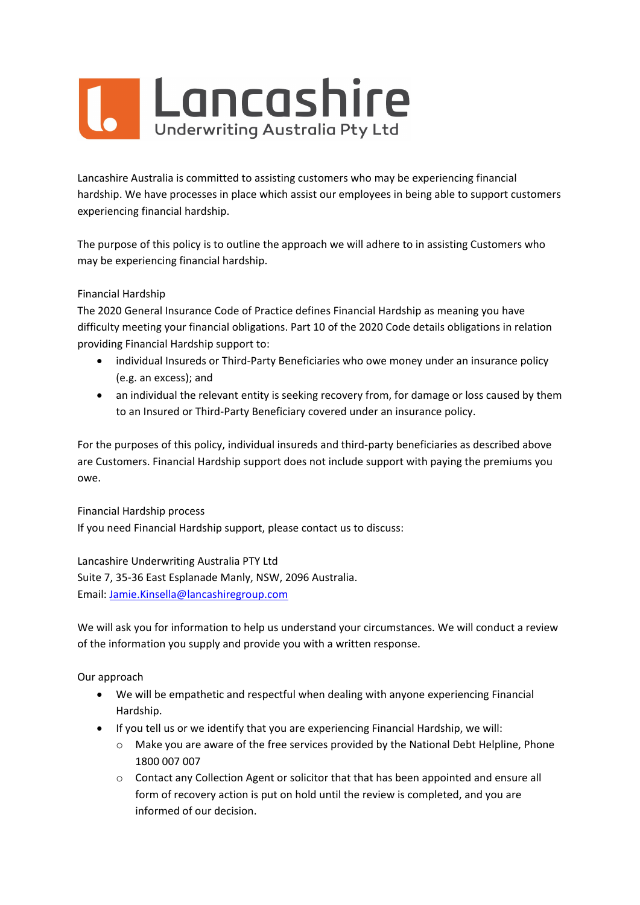

Lancashire Australia is committed to assisting customers who may be experiencing financial hardship. We have processes in place which assist our employees in being able to support customers experiencing financial hardship.

The purpose of this policy is to outline the approach we will adhere to in assisting Customers who may be experiencing financial hardship.

## Financial Hardship

The 2020 General Insurance Code of Practice defines Financial Hardship as meaning you have difficulty meeting your financial obligations. Part 10 of the 2020 Code details obligations in relation providing Financial Hardship support to:

- individual Insureds or Third-Party Beneficiaries who owe money under an insurance policy (e.g. an excess); and
- an individual the relevant entity is seeking recovery from, for damage or loss caused by them to an Insured or Third-Party Beneficiary covered under an insurance policy.

For the purposes of this policy, individual insureds and third-party beneficiaries as described above are Customers. Financial Hardship support does not include support with paying the premiums you owe.

Financial Hardship process If you need Financial Hardship support, please contact us to discuss:

Lancashire Underwriting Australia PTY Ltd Suite 7, 35-36 East Esplanade Manly, NSW, 2096 Australia. Email: Jamie.Kinsella@lancashiregroup.com

We will ask you for information to help us understand your circumstances. We will conduct a review of the information you supply and provide you with a written response.

Our approach

- We will be empathetic and respectful when dealing with anyone experiencing Financial Hardship.
- If you tell us or we identify that you are experiencing Financial Hardship, we will:
	- o Make you are aware of the free services provided by the National Debt Helpline, Phone 1800 007 007
	- o Contact any Collection Agent or solicitor that that has been appointed and ensure all form of recovery action is put on hold until the review is completed, and you are informed of our decision.